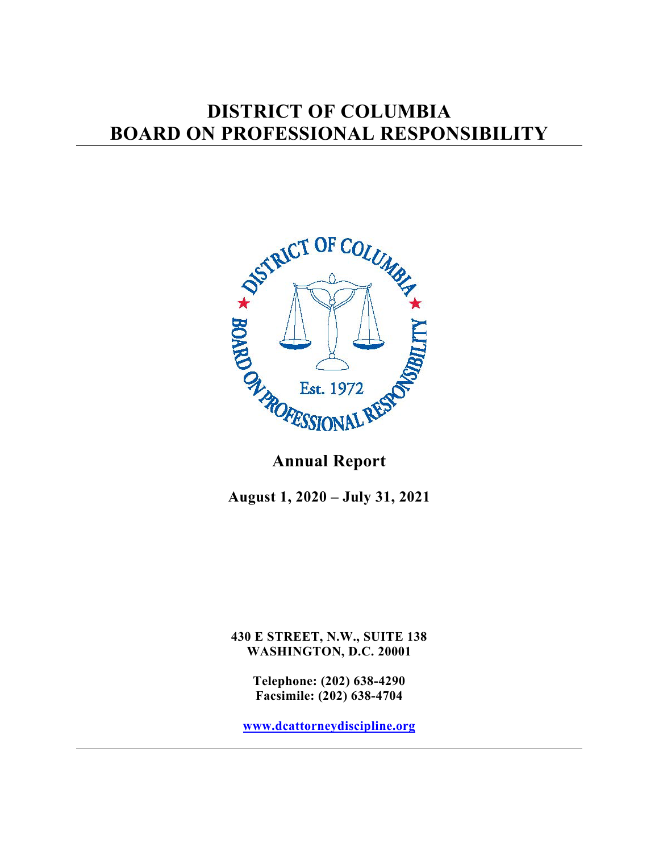# **DISTRICT OF COLUMBIA BOARD ON PROFESSIONAL RESPONSIBILITY**



## **Annual Report**

**August 1, 2020 – July 31, 2021**

**430 E STREET, N.W., SUITE 138 WASHINGTON, D.C. 20001**

> **Telephone: (202) 638-4290 Facsimile: (202) 638-4704**

**[www.dcattorneydiscipline.org](http://www.dcattorneydiscipline.org/)**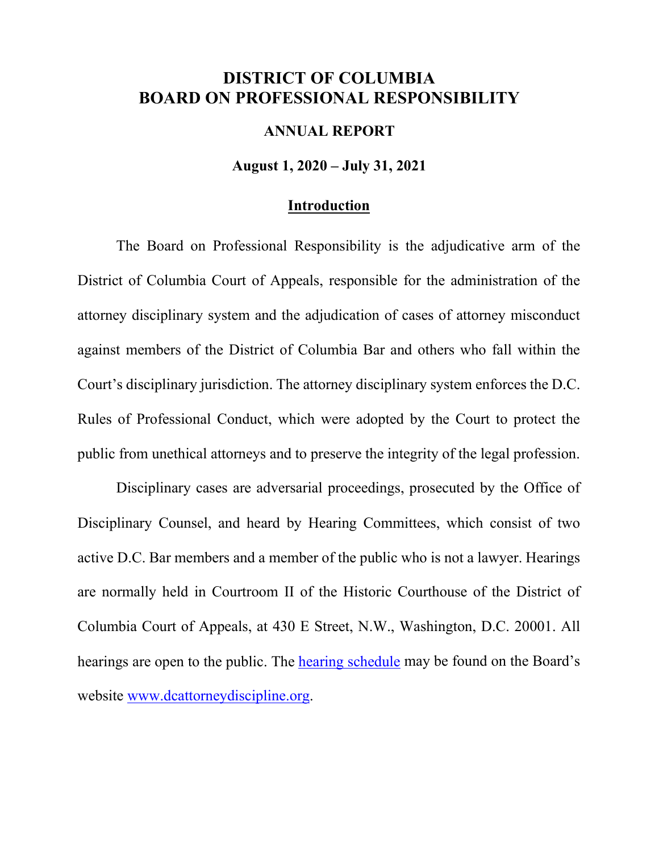## **DISTRICT OF COLUMBIA BOARD ON PROFESSIONAL RESPONSIBILITY**

#### **ANNUAL REPORT**

#### **August 1, 2020 – July 31, 2021**

#### **Introduction**

The Board on Professional Responsibility is the adjudicative arm of the District of Columbia Court of Appeals, responsible for the administration of the attorney disciplinary system and the adjudication of cases of attorney misconduct against members of the District of Columbia Bar and others who fall within the Court's disciplinary jurisdiction. The attorney disciplinary system enforces the D.C. Rules of Professional Conduct, which were adopted by the Court to protect the public from unethical attorneys and to preserve the integrity of the legal profession.

Disciplinary cases are adversarial proceedings, prosecuted by the Office of Disciplinary Counsel, and heard by Hearing Committees, which consist of two active D.C. Bar members and a member of the public who is not a lawyer. Hearings are normally held in Courtroom II of the Historic Courthouse of the District of Columbia Court of Appeals, at 430 E Street, N.W., Washington, D.C. 20001. All hearings are open to the public. The [hearing schedule](https://www.dcbar.org/attorney-discipline/board-on-professional-responsibility/hearing-and-oral-argument-schedule) may be found on the Board's website [www.dcattorneydiscipline.org.](http://www.dcattorneydiscipline.org/)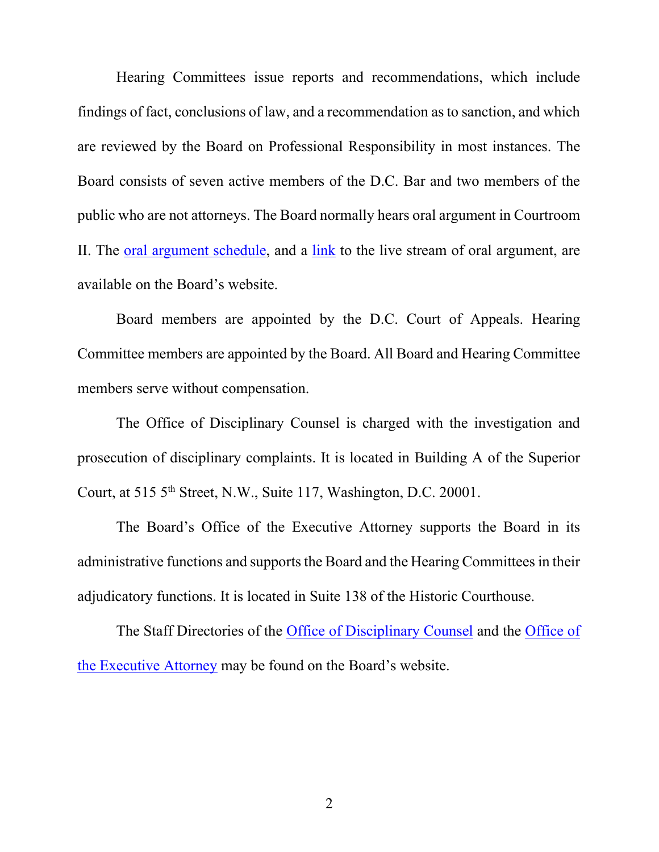Hearing Committees issue reports and recommendations, which include findings of fact, conclusions of law, and a recommendation as to sanction, and which are reviewed by the Board on Professional Responsibility in most instances. The Board consists of seven active members of the D.C. Bar and two members of the public who are not attorneys. The Board normally hears oral argument in Courtroom II. The [oral argument schedule,](https://www.dcbar.org/attorney-discipline/board-on-professional-responsibility/hearing-and-oral-argument-schedule) and a [link](https://www.youtube.com/channel/UCh4Q1TZX8zdH5-SeQcyvrtg) to the live stream of oral argument, are available on the Board's website.

Board members are appointed by the D.C. Court of Appeals. Hearing Committee members are appointed by the Board. All Board and Hearing Committee members serve without compensation.

The Office of Disciplinary Counsel is charged with the investigation and prosecution of disciplinary complaints. It is located in Building A of the Superior Court, at 515 5<sup>th</sup> Street, N.W., Suite 117, Washington, D.C. 20001.

The Board's Office of the Executive Attorney supports the Board in its administrative functions and supports the Board and the Hearing Committees in their adjudicatory functions. It is located in Suite 138 of the Historic Courthouse.

The Staff Directories of the [Office of Disciplinary Counsel](https://www.dcbar.org/Attorney-Discipline/Office-of-Disciplinary-Counsel/Office-of-Disciplinary-Counsel-Staff) and the [Office of](https://www.dcbar.org/attorney-discipline/board-on-professional-responsibility/office-of-the-executive-attorney)  [the Executive Attorney](https://www.dcbar.org/attorney-discipline/board-on-professional-responsibility/office-of-the-executive-attorney) may be found on the Board's website.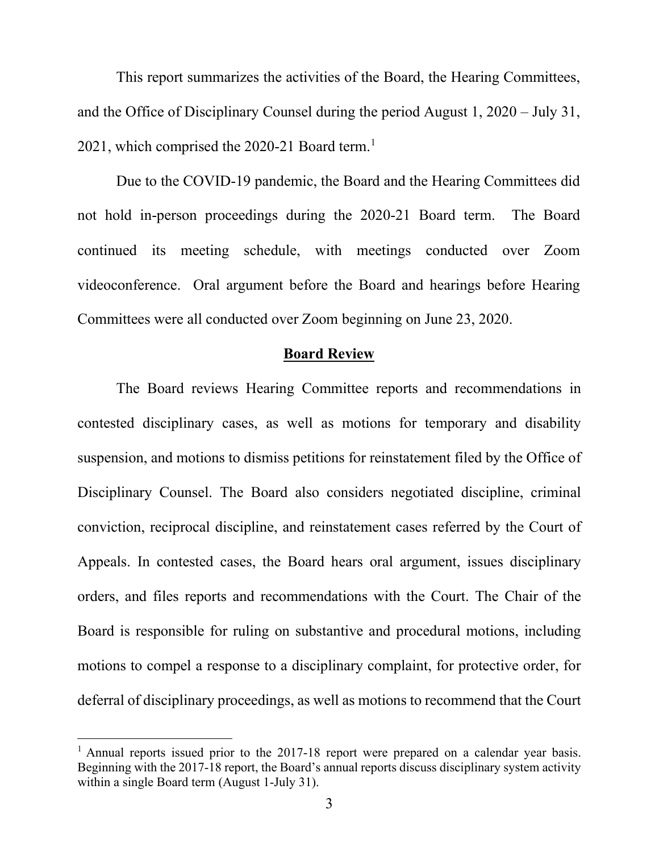This report summarizes the activities of the Board, the Hearing Committees, and the Office of Disciplinary Counsel during the period August 1, 2020 – July 31, 202[1](#page-3-0), which comprised the 2020-21 Board term.<sup>1</sup>

Due to the COVID-19 pandemic, the Board and the Hearing Committees did not hold in-person proceedings during the 2020-21 Board term. The Board continued its meeting schedule, with meetings conducted over Zoom videoconference. Oral argument before the Board and hearings before Hearing Committees were all conducted over Zoom beginning on June 23, 2020.

#### **Board Review**

The Board reviews Hearing Committee reports and recommendations in contested disciplinary cases, as well as motions for temporary and disability suspension, and motions to dismiss petitions for reinstatement filed by the Office of Disciplinary Counsel. The Board also considers negotiated discipline, criminal conviction, reciprocal discipline, and reinstatement cases referred by the Court of Appeals. In contested cases, the Board hears oral argument, issues disciplinary orders, and files reports and recommendations with the Court. The Chair of the Board is responsible for ruling on substantive and procedural motions, including motions to compel a response to a disciplinary complaint, for protective order, for deferral of disciplinary proceedings, as well as motions to recommend that the Court

<span id="page-3-0"></span><sup>&</sup>lt;sup>1</sup> Annual reports issued prior to the 2017-18 report were prepared on a calendar year basis. Beginning with the 2017-18 report, the Board's annual reports discuss disciplinary system activity within a single Board term (August 1-July 31).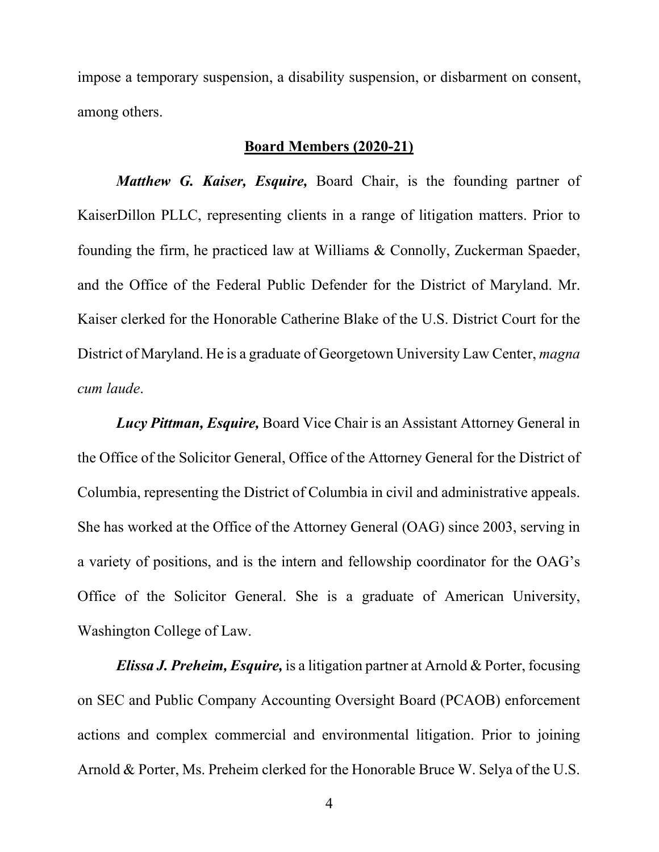impose a temporary suspension, a disability suspension, or disbarment on consent, among others.

#### **Board Members (2020-21)**

*Matthew G. Kaiser, Esquire,* Board Chair, is the founding partner of KaiserDillon PLLC, representing clients in a range of litigation matters. Prior to founding the firm, he practiced law at Williams & Connolly, Zuckerman Spaeder, and the Office of the Federal Public Defender for the District of Maryland. Mr. Kaiser clerked for the Honorable Catherine Blake of the U.S. District Court for the District of Maryland. He is a graduate of Georgetown University Law Center, *magna cum laude*.

*Lucy Pittman, Esquire,* Board Vice Chair is an Assistant Attorney General in the Office of the Solicitor General, Office of the Attorney General for the District of Columbia, representing the District of Columbia in civil and administrative appeals. She has worked at the Office of the Attorney General (OAG) since 2003, serving in a variety of positions, and is the intern and fellowship coordinator for the OAG's Office of the Solicitor General. She is a graduate of American University, Washington College of Law.

*Elissa J. Preheim, Esquire,* is a litigation partner at Arnold & Porter, focusing on SEC and Public Company Accounting Oversight Board (PCAOB) enforcement actions and complex commercial and environmental litigation. Prior to joining Arnold & Porter, Ms. Preheim clerked for the Honorable Bruce W. Selya of the U.S.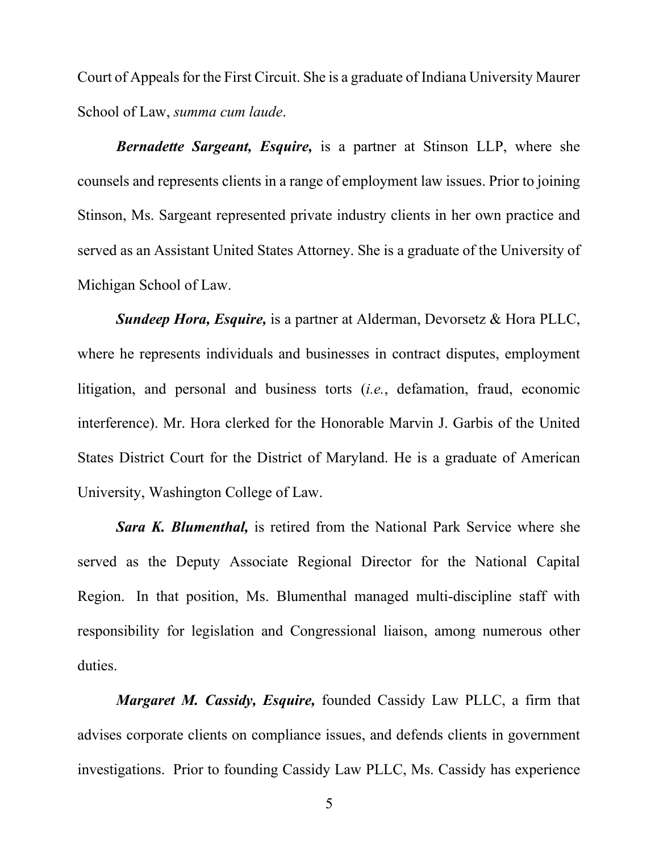Court of Appeals for the First Circuit. She is a graduate of Indiana University Maurer School of Law, *summa cum laude*.

*Bernadette Sargeant, Esquire,* is a partner at Stinson LLP, where she counsels and represents clients in a range of employment law issues. Prior to joining Stinson, Ms. Sargeant represented private industry clients in her own practice and served as an Assistant United States Attorney. She is a graduate of the University of Michigan School of Law.

*Sundeep Hora, Esquire,* is a partner at Alderman, Devorsetz & Hora PLLC, where he represents individuals and businesses in contract disputes, employment litigation, and personal and business torts (*i.e.*, defamation, fraud, economic interference). Mr. Hora clerked for the Honorable Marvin J. Garbis of the United States District Court for the District of Maryland. He is a graduate of American University, Washington College of Law.

*Sara K. Blumenthal,* is retired from the National Park Service where she served as the Deputy Associate Regional Director for the National Capital Region. In that position, Ms. Blumenthal managed multi-discipline staff with responsibility for legislation and Congressional liaison, among numerous other duties.

*Margaret M. Cassidy, Esquire,* founded Cassidy Law PLLC, a firm that advises corporate clients on compliance issues, and defends clients in government investigations. Prior to founding Cassidy Law PLLC, Ms. Cassidy has experience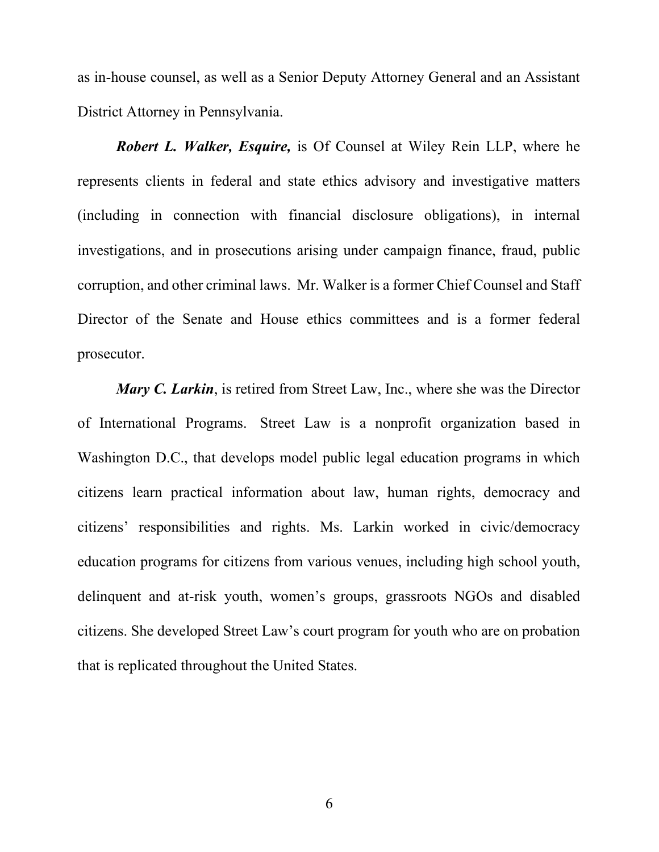as in-house counsel, as well as a Senior Deputy Attorney General and an Assistant District Attorney in Pennsylvania.

*Robert L. Walker, Esquire,* is Of Counsel at Wiley Rein LLP, where he represents clients in federal and state ethics advisory and investigative matters (including in connection with financial disclosure obligations), in internal investigations, and in prosecutions arising under campaign finance, fraud, public corruption, and other criminal laws. Mr. Walker is a former Chief Counsel and Staff Director of the Senate and House ethics committees and is a former federal prosecutor.

*Mary C. Larkin*, is retired from Street Law, Inc., where she was the Director of International Programs. Street Law is a nonprofit organization based in Washington D.C., that develops model public legal education programs in which citizens learn practical information about law, human rights, democracy and citizens' responsibilities and rights. Ms. Larkin worked in civic/democracy education programs for citizens from various venues, including high school youth, delinquent and at-risk youth, women's groups, grassroots NGOs and disabled citizens. She developed Street Law's court program for youth who are on probation that is replicated throughout the United States.

6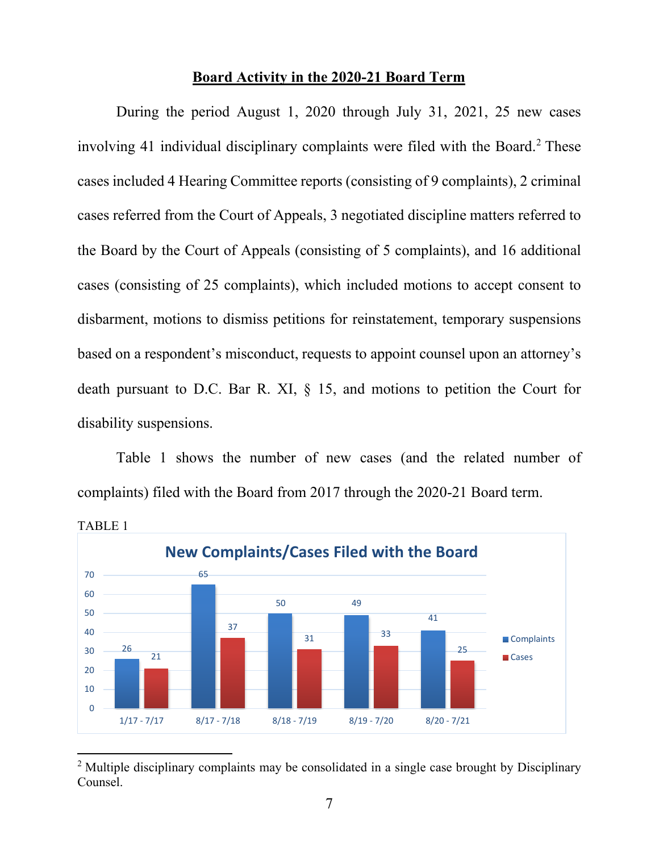#### **Board Activity in the 2020-21 Board Term**

During the period August 1, 2020 through July 31, 2021, 25 new cases involving 41 individual disciplinary complaints were filed with the Board.<sup>2</sup> These cases included 4 Hearing Committee reports (consisting of 9 complaints), 2 criminal cases referred from the Court of Appeals, 3 negotiated discipline matters referred to the Board by the Court of Appeals (consisting of 5 complaints), and 16 additional cases (consisting of 25 complaints), which included motions to accept consent to disbarment, motions to dismiss petitions for reinstatement, temporary suspensions based on a respondent's misconduct, requests to appoint counsel upon an attorney's death pursuant to D.C. Bar R. XI, § 15, and motions to petition the Court for disability suspensions.

Table 1 shows the number of new cases (and the related number of complaints) filed with the Board from 2017 through the 2020-21 Board term.



<span id="page-7-0"></span><sup>&</sup>lt;sup>2</sup> Multiple disciplinary complaints may be consolidated in a single case brought by Disciplinary Counsel.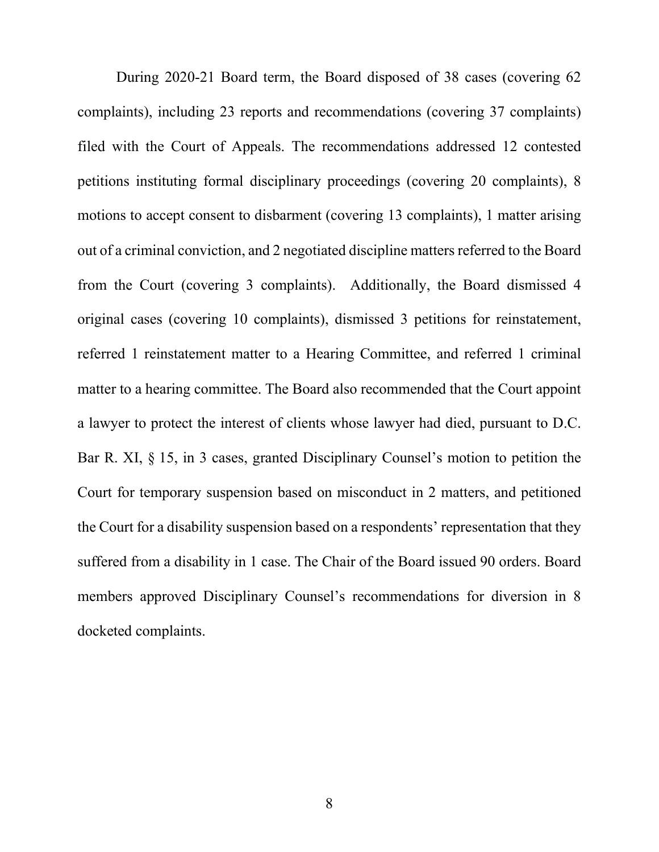During 2020-21 Board term, the Board disposed of 38 cases (covering 62 complaints), including 23 reports and recommendations (covering 37 complaints) filed with the Court of Appeals. The recommendations addressed 12 contested petitions instituting formal disciplinary proceedings (covering 20 complaints), 8 motions to accept consent to disbarment (covering 13 complaints), 1 matter arising out of a criminal conviction, and 2 negotiated discipline matters referred to the Board from the Court (covering 3 complaints). Additionally, the Board dismissed 4 original cases (covering 10 complaints), dismissed 3 petitions for reinstatement, referred 1 reinstatement matter to a Hearing Committee, and referred 1 criminal matter to a hearing committee. The Board also recommended that the Court appoint a lawyer to protect the interest of clients whose lawyer had died, pursuant to D.C. Bar R. XI, § 15, in 3 cases, granted Disciplinary Counsel's motion to petition the Court for temporary suspension based on misconduct in 2 matters, and petitioned the Court for a disability suspension based on a respondents' representation that they suffered from a disability in 1 case. The Chair of the Board issued 90 orders. Board members approved Disciplinary Counsel's recommendations for diversion in 8 docketed complaints.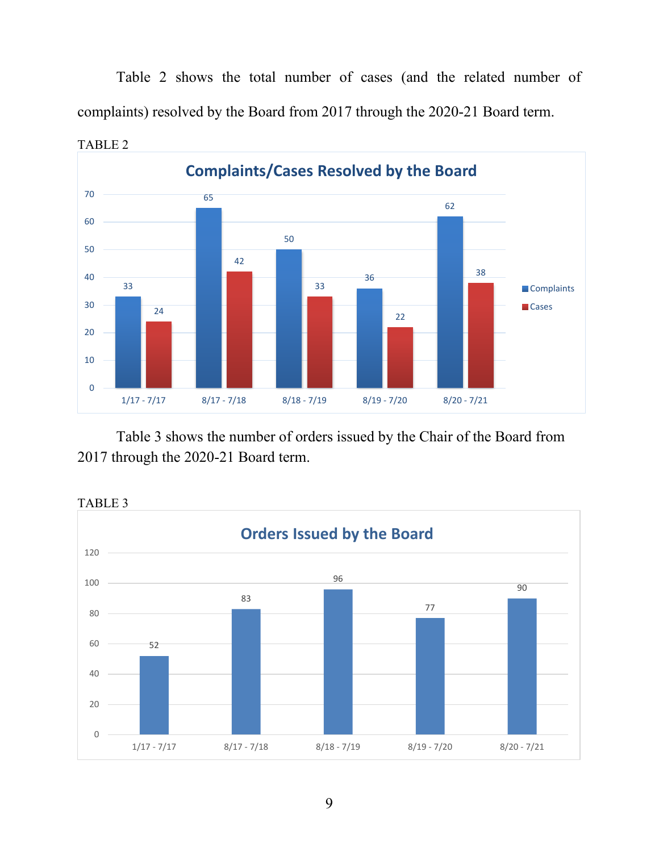Table 2 shows the total number of cases (and the related number of complaints) resolved by the Board from 2017 through the 2020-21 Board term.



Table 3 shows the number of orders issued by the Chair of the Board from through the 2020-21 Board term.



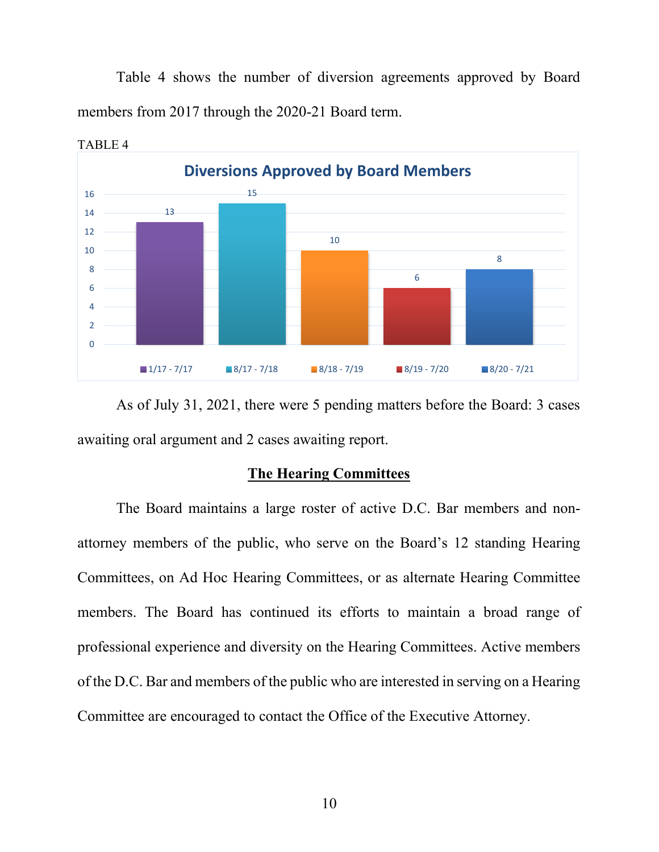Table 4 shows the number of diversion agreements approved by Board members from 2017 through the 2020-21 Board term.



TABLE 4

As of July 31, 2021, there were 5 pending matters before the Board: 3 cases awaiting oral argument and 2 cases awaiting report.

#### **The Hearing Committees**

The Board maintains a large roster of active D.C. Bar members and nonattorney members of the public, who serve on the Board's 12 standing Hearing Committees, on Ad Hoc Hearing Committees, or as alternate Hearing Committee members. The Board has continued its efforts to maintain a broad range of professional experience and diversity on the Hearing Committees. Active members of the D.C. Bar and members of the public who are interested in serving on a Hearing Committee are encouraged to contact the Office of the Executive Attorney.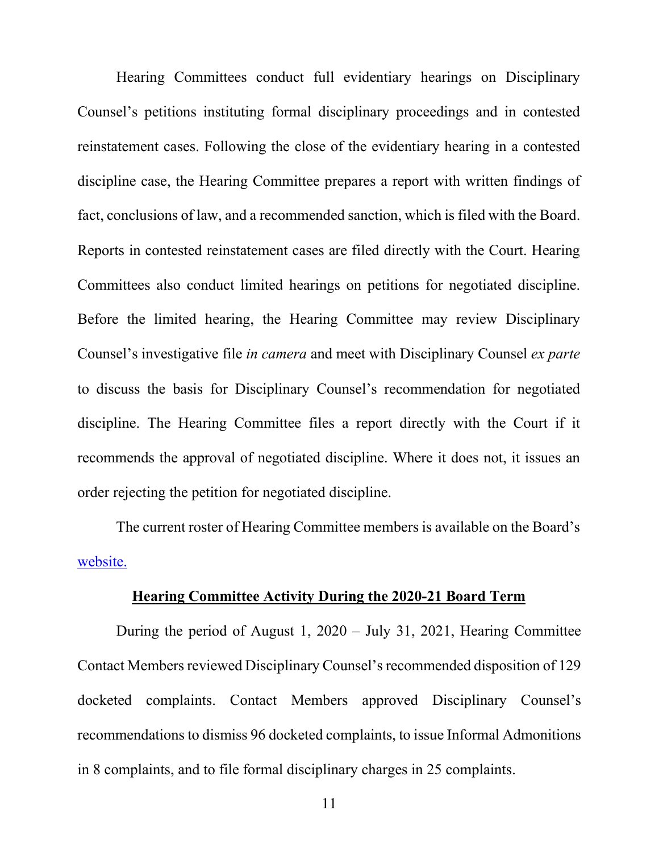Hearing Committees conduct full evidentiary hearings on Disciplinary Counsel's petitions instituting formal disciplinary proceedings and in contested reinstatement cases. Following the close of the evidentiary hearing in a contested discipline case, the Hearing Committee prepares a report with written findings of fact, conclusions of law, and a recommended sanction, which is filed with the Board. Reports in contested reinstatement cases are filed directly with the Court. Hearing Committees also conduct limited hearings on petitions for negotiated discipline. Before the limited hearing, the Hearing Committee may review Disciplinary Counsel's investigative file *in camera* and meet with Disciplinary Counsel *ex parte*  to discuss the basis for Disciplinary Counsel's recommendation for negotiated discipline. The Hearing Committee files a report directly with the Court if it recommends the approval of negotiated discipline. Where it does not, it issues an order rejecting the petition for negotiated discipline.

The current roster of Hearing Committee members is available on the Board's [website.](https://www.dcbar.org/Attorney-Discipline/Board-on-Professional-Responsibility/Hearing-Committee)

#### **Hearing Committee Activity During the 2020-21 Board Term**

During the period of August 1, 2020 – July 31, 2021, Hearing Committee Contact Members reviewed Disciplinary Counsel's recommended disposition of 129 docketed complaints. Contact Members approved Disciplinary Counsel's recommendations to dismiss 96 docketed complaints, to issue Informal Admonitions in 8 complaints, and to file formal disciplinary charges in 25 complaints.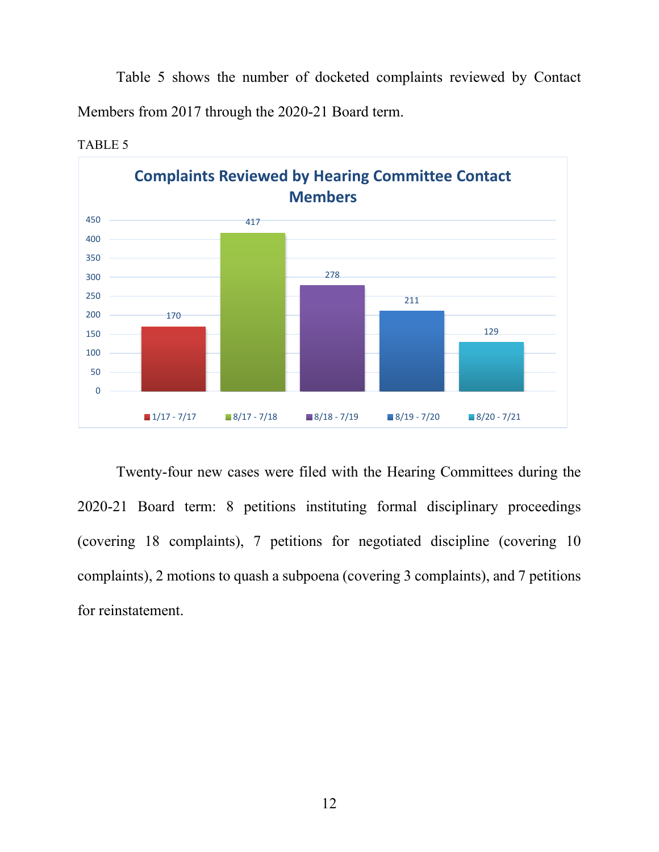Table 5 shows the number of docketed complaints reviewed by Contact Members from 2017 through the 2020-21 Board term.



TABLE 5

Twenty-four new cases were filed with the Hearing Committees during the 2020-21 Board term: 8 petitions instituting formal disciplinary proceedings (covering 18 complaints), 7 petitions for negotiated discipline (covering 10 complaints), 2 motions to quash a subpoena (covering 3 complaints), and 7 petitions for reinstatement.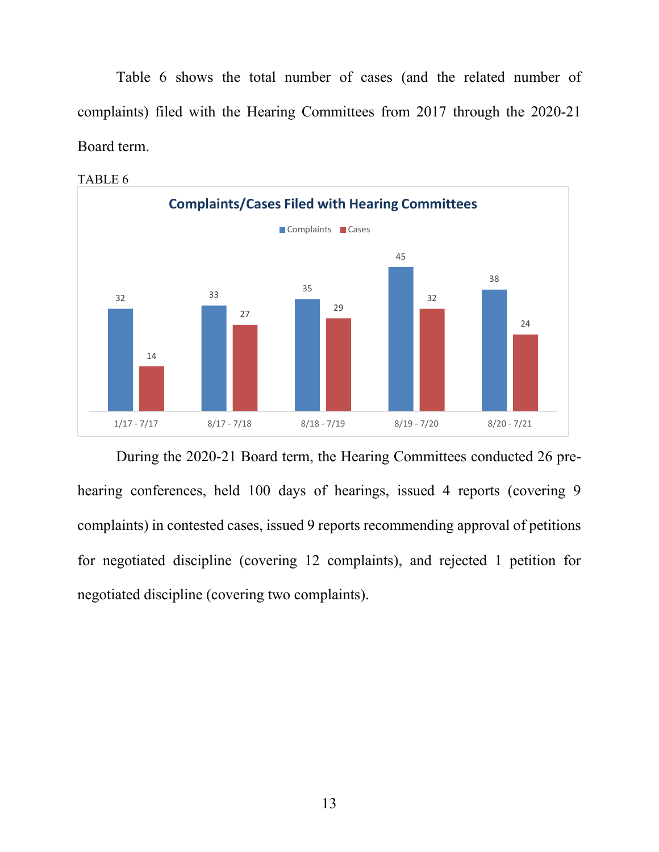Table 6 shows the total number of cases (and the related number of complaints) filed with the Hearing Committees from 2017 through the 2020-21 Board term.



TABLE 6

During the 2020-21 Board term, the Hearing Committees conducted 26 prehearing conferences, held 100 days of hearings, issued 4 reports (covering 9 complaints) in contested cases, issued 9 reports recommending approval of petitions for negotiated discipline (covering 12 complaints), and rejected 1 petition for negotiated discipline (covering two complaints).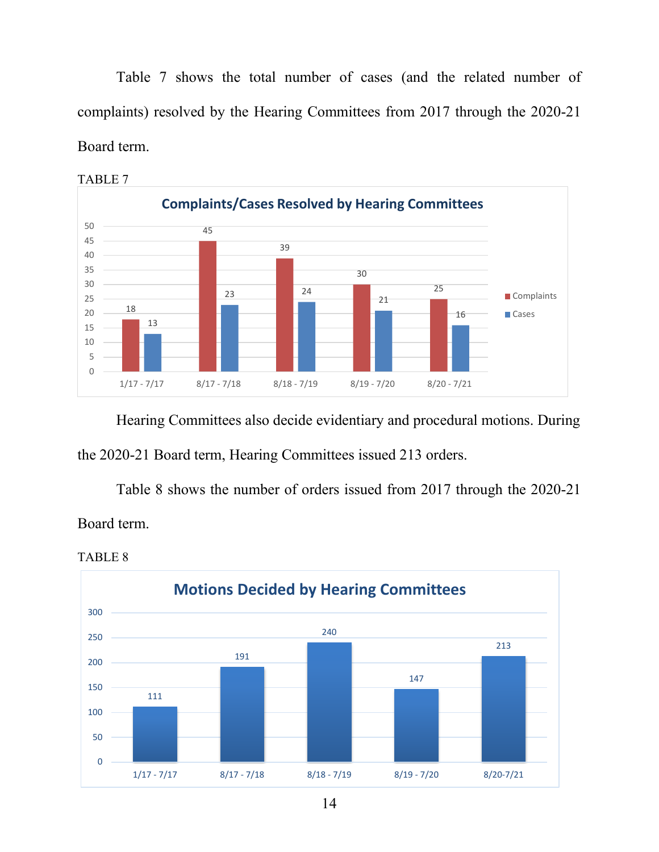Table 7 shows the total number of cases (and the related number of complaints) resolved by the Hearing Committees from 2017 through the 2020-21 Board term.



TABLE 7

Hearing Committees also decide evidentiary and procedural motions. During the 2020-21 Board term, Hearing Committees issued 213 orders.

Table 8 shows the number of orders issued from 2017 through the 2020-21 Board term.

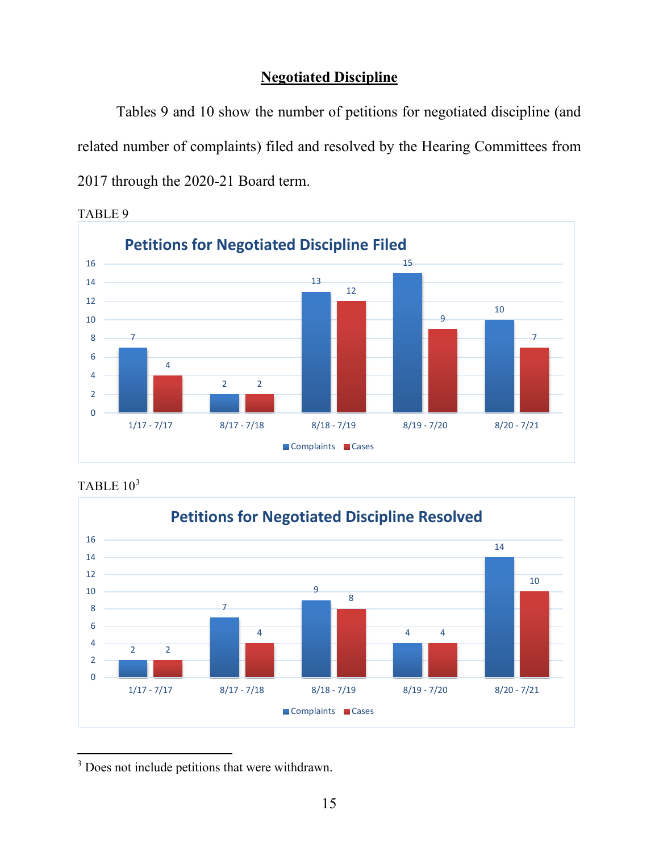### **Negotiated Discipline**

Tables 9 and 10 show the number of petitions for negotiated discipline (and related number of complaints) filed and resolved by the Hearing Committees from through the 2020-21 Board term.



TABLE 9





<span id="page-15-0"></span><sup>3</sup> Does not include petitions that were withdrawn.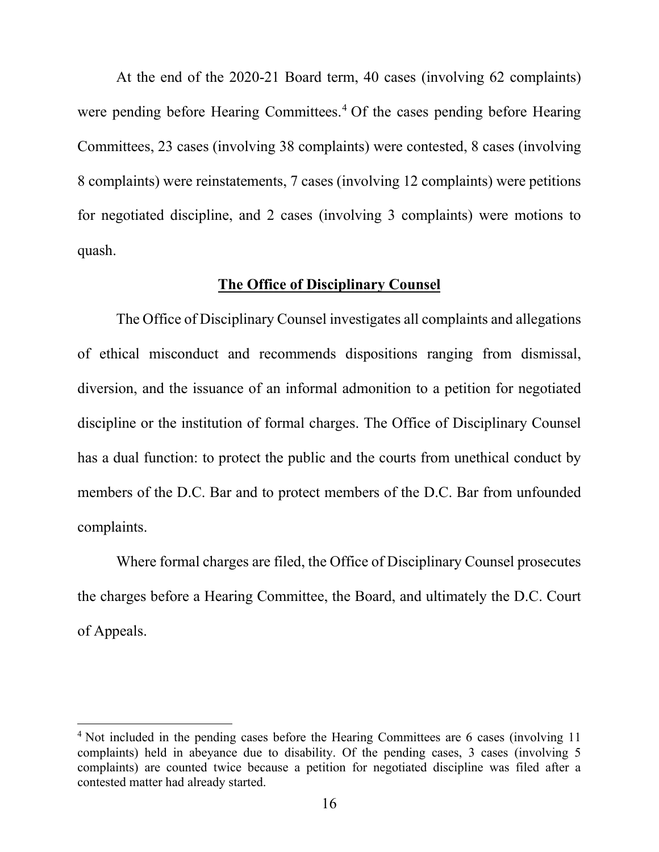At the end of the 2020-21 Board term, 40 cases (involving 62 complaints) were pending before Hearing Committees. [4](#page-16-0) Of the cases pending before Hearing Committees, 23 cases (involving 38 complaints) were contested, 8 cases (involving 8 complaints) were reinstatements, 7 cases (involving 12 complaints) were petitions for negotiated discipline, and 2 cases (involving 3 complaints) were motions to quash.

#### **The Office of Disciplinary Counsel**

The Office of Disciplinary Counsel investigates all complaints and allegations of ethical misconduct and recommends dispositions ranging from dismissal, diversion, and the issuance of an informal admonition to a petition for negotiated discipline or the institution of formal charges. The Office of Disciplinary Counsel has a dual function: to protect the public and the courts from unethical conduct by members of the D.C. Bar and to protect members of the D.C. Bar from unfounded complaints.

Where formal charges are filed, the Office of Disciplinary Counsel prosecutes the charges before a Hearing Committee, the Board, and ultimately the D.C. Court of Appeals.

<span id="page-16-0"></span><sup>&</sup>lt;sup>4</sup> Not included in the pending cases before the Hearing Committees are 6 cases (involving 11) complaints) held in abeyance due to disability. Of the pending cases, 3 cases (involving 5 complaints) are counted twice because a petition for negotiated discipline was filed after a contested matter had already started.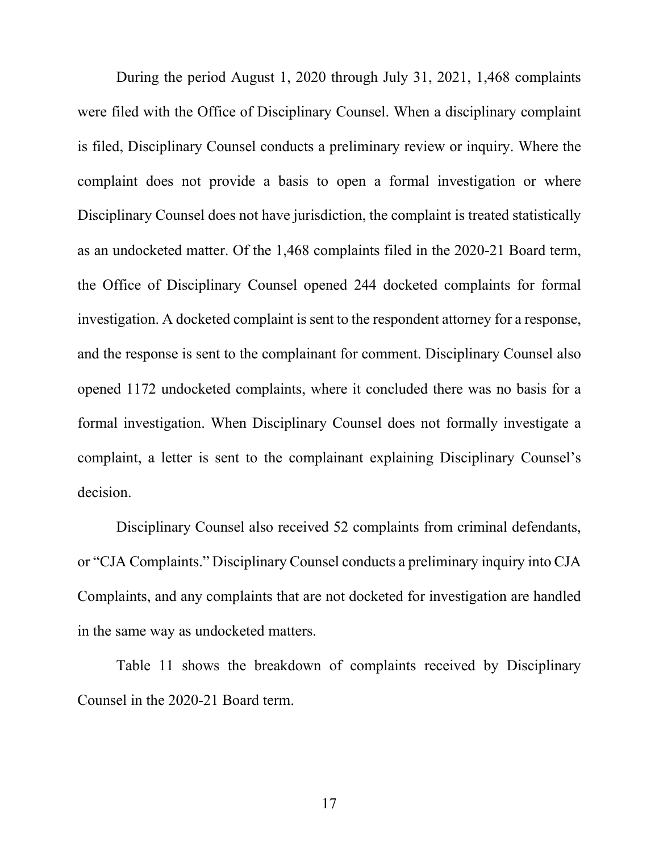During the period August 1, 2020 through July 31, 2021, 1,468 complaints were filed with the Office of Disciplinary Counsel. When a disciplinary complaint is filed, Disciplinary Counsel conducts a preliminary review or inquiry. Where the complaint does not provide a basis to open a formal investigation or where Disciplinary Counsel does not have jurisdiction, the complaint is treated statistically as an undocketed matter. Of the 1,468 complaints filed in the 2020-21 Board term, the Office of Disciplinary Counsel opened 244 docketed complaints for formal investigation. A docketed complaint is sent to the respondent attorney for a response, and the response is sent to the complainant for comment. Disciplinary Counsel also opened 1172 undocketed complaints, where it concluded there was no basis for a formal investigation. When Disciplinary Counsel does not formally investigate a complaint, a letter is sent to the complainant explaining Disciplinary Counsel's decision.

Disciplinary Counsel also received 52 complaints from criminal defendants, or "CJA Complaints." Disciplinary Counsel conducts a preliminary inquiry into CJA Complaints, and any complaints that are not docketed for investigation are handled in the same way as undocketed matters.

Table 11 shows the breakdown of complaints received by Disciplinary Counsel in the 2020-21 Board term.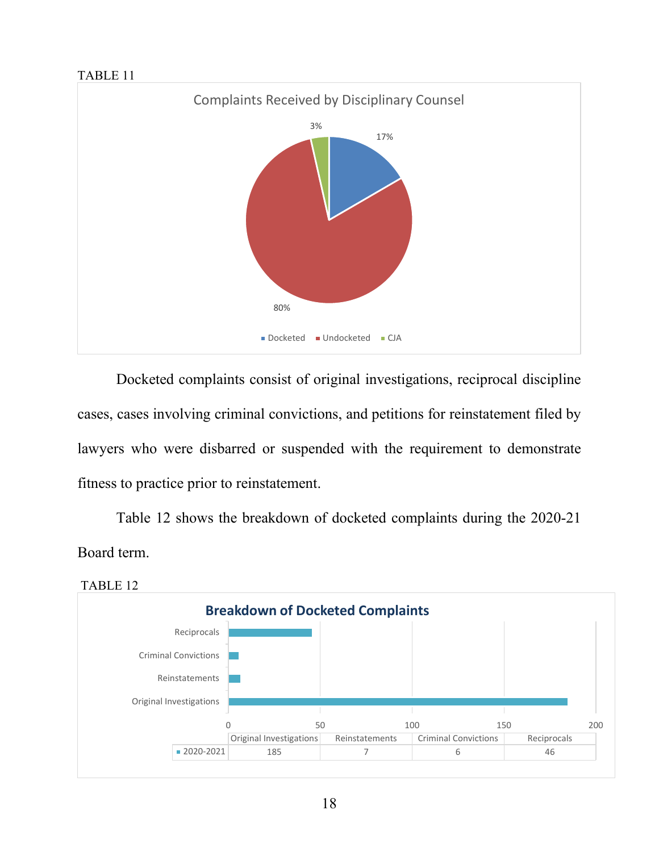#### TABLE 11



Docketed complaints consist of original investigations, reciprocal discipline cases, cases involving criminal convictions, and petitions for reinstatement filed by lawyers who were disbarred or suspended with the requirement to demonstrate fitness to practice prior to reinstatement.

Table 12 shows the breakdown of docketed complaints during the 2020-21 Board term.